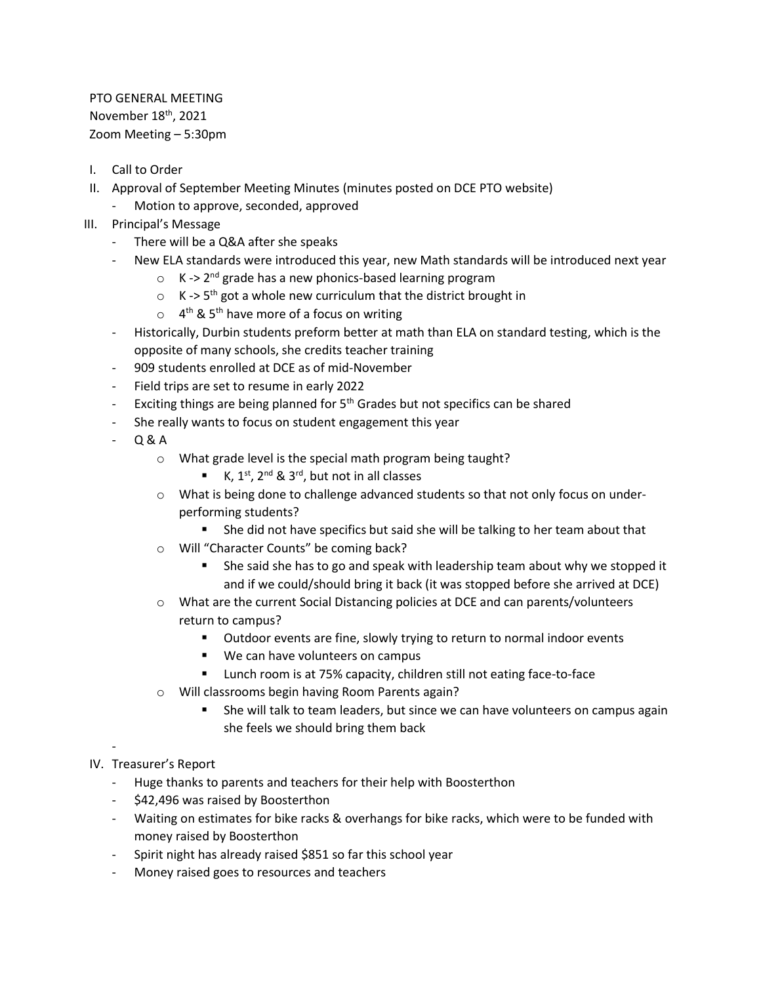PTO GENERAL MEETING November 18<sup>th</sup>, 2021 Zoom Meeting – 5:30pm

- I. Call to Order
- II. Approval of September Meeting Minutes (minutes posted on DCE PTO website)
	- Motion to approve, seconded, approved
- III. Principal's Message
	- There will be a Q&A after she speaks
	- New ELA standards were introduced this year, new Math standards will be introduced next year
		- $\circ$  K -> 2<sup>nd</sup> grade has a new phonics-based learning program
		- $\circ$  K -> 5<sup>th</sup> got a whole new curriculum that the district brought in
		- $\circ$  4<sup>th</sup> & 5<sup>th</sup> have more of a focus on writing
	- Historically, Durbin students preform better at math than ELA on standard testing, which is the opposite of many schools, she credits teacher training
	- 909 students enrolled at DCE as of mid-November
	- Field trips are set to resume in early 2022
	- Exciting things are being planned for 5<sup>th</sup> Grades but not specifics can be shared
	- She really wants to focus on student engagement this year
	- Q & A
		- o What grade level is the special math program being taught?
			- K,  $1^{st}$ ,  $2^{nd}$  &  $3^{rd}$ , but not in all classes
		- $\circ$  What is being done to challenge advanced students so that not only focus on underperforming students?
			- She did not have specifics but said she will be talking to her team about that
		- o Will "Character Counts" be coming back?
			- She said she has to go and speak with leadership team about why we stopped it and if we could/should bring it back (it was stopped before she arrived at DCE)
		- $\circ$  What are the current Social Distancing policies at DCE and can parents/volunteers return to campus?
			- Outdoor events are fine, slowly trying to return to normal indoor events
			- We can have volunteers on campus
			- Lunch room is at 75% capacity, children still not eating face-to-face
		- o Will classrooms begin having Room Parents again?
			- She will talk to team leaders, but since we can have volunteers on campus again she feels we should bring them back
- IV. Treasurer's Report

-

- Huge thanks to parents and teachers for their help with Boosterthon
- \$42,496 was raised by Boosterthon
- Waiting on estimates for bike racks & overhangs for bike racks, which were to be funded with money raised by Boosterthon
- Spirit night has already raised \$851 so far this school year
- Money raised goes to resources and teachers